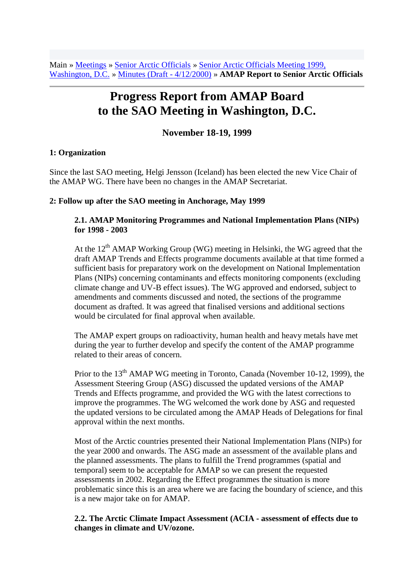Main » Meetings » Senior Arctic Officials » Senior Arctic Officials Meeting 1999, Washington, D.C. » Minutes (Draft - 4/12/2000) » **AMAP Report to Senior Arctic Officials**

# **Progress Report from AMAP Board to the SAO Meeting in Washington, D.C.**

## **November 18-19, 1999**

#### **1: Organization**

Since the last SAO meeting, Helgi Jensson (Iceland) has been elected the new Vice Chair of the AMAP WG. There have been no changes in the AMAP Secretariat.

#### **2: Follow up after the SAO meeting in Anchorage, May 1999**

## **2.1. AMAP Monitoring Programmes and National Implementation Plans (NIPs) for 1998 - 2003**

At the  $12<sup>th</sup>$  AMAP Working Group (WG) meeting in Helsinki, the WG agreed that the draft AMAP Trends and Effects programme documents available at that time formed a sufficient basis for preparatory work on the development on National Implementation Plans (NIPs) concerning contaminants and effects monitoring components (excluding climate change and UV-B effect issues). The WG approved and endorsed, subject to amendments and comments discussed and noted, the sections of the programme document as drafted. It was agreed that finalised versions and additional sections would be circulated for final approval when available.

The AMAP expert groups on radioactivity, human health and heavy metals have met during the year to further develop and specify the content of the AMAP programme related to their areas of concern.

Prior to the  $13<sup>th</sup>$  AMAP WG meeting in Toronto, Canada (November 10-12, 1999), the Assessment Steering Group (ASG) discussed the updated versions of the AMAP Trends and Effects programme, and provided the WG with the latest corrections to improve the programmes. The WG welcomed the work done by ASG and requested the updated versions to be circulated among the AMAP Heads of Delegations for final approval within the next months.

Most of the Arctic countries presented their National Implementation Plans (NIPs) for the year 2000 and onwards. The ASG made an assessment of the available plans and the planned assessments. The plans to fulfill the Trend programmes (spatial and temporal) seem to be acceptable for AMAP so we can present the requested assessments in 2002. Regarding the Effect programmes the situation is more problematic since this is an area where we are facing the boundary of science, and this is a new major take on for AMAP.

#### **2.2. The Arctic Climate Impact Assessment (ACIA - assessment of effects due to changes in climate and UV/ozone.**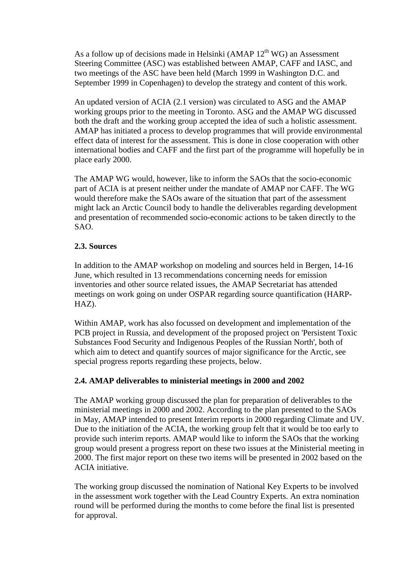As a follow up of decisions made in Helsinki (AMAP  $12<sup>th</sup>$  WG) an Assessment Steering Committee (ASC) was established between AMAP, CAFF and IASC, and two meetings of the ASC have been held (March 1999 in Washington D.C. and September 1999 in Copenhagen) to develop the strategy and content of this work.

An updated version of ACIA (2.1 version) was circulated to ASG and the AMAP working groups prior to the meeting in Toronto. ASG and the AMAP WG discussed both the draft and the working group accepted the idea of such a holistic assessment. AMAP has initiated a process to develop programmes that will provide environmental effect data of interest for the assessment. This is done in close cooperation with other international bodies and CAFF and the first part of the programme will hopefully be in place early 2000.

The AMAP WG would, however, like to inform the SAOs that the socio-economic part of ACIA is at present neither under the mandate of AMAP nor CAFF. The WG would therefore make the SAOs aware of the situation that part of the assessment might lack an Arctic Council body to handle the deliverables regarding development and presentation of recommended socio-economic actions to be taken directly to the SAO.

## **2.3. Sources**

In addition to the AMAP workshop on modeling and sources held in Bergen, 14-16 June, which resulted in 13 recommendations concerning needs for emission inventories and other source related issues, the AMAP Secretariat has attended meetings on work going on under OSPAR regarding source quantification (HARP-HAZ).

Within AMAP, work has also focussed on development and implementation of the PCB project in Russia, and development of the proposed project on 'Persistent Toxic Substances Food Security and Indigenous Peoples of the Russian North', both of which aim to detect and quantify sources of major significance for the Arctic, see special progress reports regarding these projects, below.

# **2.4. AMAP deliverables to ministerial meetings in 2000 and 2002**

The AMAP working group discussed the plan for preparation of deliverables to the ministerial meetings in 2000 and 2002. According to the plan presented to the SAOs in May, AMAP intended to present Interim reports in 2000 regarding Climate and UV. Due to the initiation of the ACIA, the working group felt that it would be too early to provide such interim reports. AMAP would like to inform the SAOs that the working group would present a progress report on these two issues at the Ministerial meeting in 2000. The first major report on these two items will be presented in 2002 based on the ACIA initiative.

The working group discussed the nomination of National Key Experts to be involved in the assessment work together with the Lead Country Experts. An extra nomination round will be performed during the months to come before the final list is presented for approval.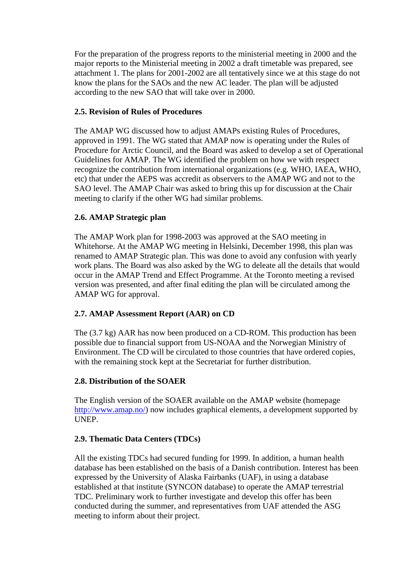For the preparation of the progress reports to the ministerial meeting in 2000 and the major reports to the Ministerial meeting in 2002 a draft timetable was prepared, see attachment 1. The plans for 2001-2002 are all tentatively since we at this stage do not know the plans for the SAOs and the new AC leader. The plan will be adjusted according to the new SAO that will take over in 2000.

## **2.5. Revision of Rules of Procedures**

The AMAP WG discussed how to adjust AMAPs existing Rules of Procedures, approved in 1991. The WG stated that AMAP now is operating under the Rules of Procedure for Arctic Council, and the Board was asked to develop a set of Operational Guidelines for AMAP. The WG identified the problem on how we with respect recognize the contribution from international organizations (e.g. WHO, IAEA, WHO, etc) that under the AEPS was accredit as observers to the AMAP WG and not to the SAO level. The AMAP Chair was asked to bring this up for discussion at the Chair meeting to clarify if the other WG had similar problems.

#### **2.6. AMAP Strategic plan**

The AMAP Work plan for 1998-2003 was approved at the SAO meeting in Whitehorse. At the AMAP WG meeting in Helsinki, December 1998, this plan was renamed to AMAP Strategic plan. This was done to avoid any confusion with yearly work plans. The Board was also asked by the WG to deleate all the details that would occur in the AMAP Trend and Effect Programme. At the Toronto meeting a revised version was presented, and after final editing the plan will be circulated among the AMAP WG for approval.

## **2.7. AMAP Assessment Report (AAR) on CD**

The (3.7 kg) AAR has now been produced on a CD-ROM. This production has been possible due to financial support from US-NOAA and the Norwegian Ministry of Environment. The CD will be circulated to those countries that have ordered copies, with the remaining stock kept at the Secretariat for further distribution.

#### **2.8. Distribution of the SOAER**

The English version of the SOAER available on the AMAP website (homepage [http://www.amap.no/\)](http://www.amap.no/) now includes graphical elements, a development supported by UNEP.

#### **2.9. Thematic Data Centers (TDCs)**

All the existing TDCs had secured funding for 1999. In addition, a human health database has been established on the basis of a Danish contribution. Interest has been expressed by the University of Alaska Fairbanks (UAF), in using a database established at that institute (SYNCON database) to operate the AMAP terrestrial TDC. Preliminary work to further investigate and develop this offer has been conducted during the summer, and representatives from UAF attended the ASG meeting to inform about their project.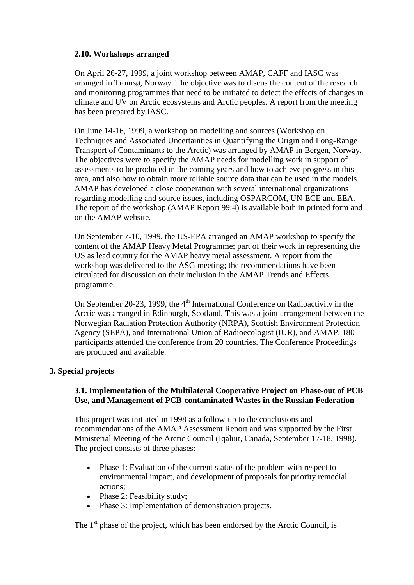## **2.10. Workshops arranged**

On April 26-27, 1999, a joint workshop between AMAP, CAFF and IASC was arranged in Tromsø, Norway. The objective was to discus the content of the research and monitoring programmes that need to be initiated to detect the effects of changes in climate and UV on Arctic ecosystems and Arctic peoples. A report from the meeting has been prepared by IASC.

On June 14-16, 1999, a workshop on modelling and sources (Workshop on Techniques and Associated Uncertainties in Quantifying the Origin and Long-Range Transport of Contaminants to the Arctic) was arranged by AMAP in Bergen, Norway. The objectives were to specify the AMAP needs for modelling work in support of assessments to be produced in the coming years and how to achieve progress in this area, and also how to obtain more reliable source data that can be used in the models. AMAP has developed a close cooperation with several international organizations regarding modelling and source issues, including OSPARCOM, UN-ECE and EEA. The report of the workshop (AMAP Report 99:4) is available both in printed form and on the AMAP website.

On September 7-10, 1999, the US-EPA arranged an AMAP workshop to specify the content of the AMAP Heavy Metal Programme; part of their work in representing the US as lead country for the AMAP heavy metal assessment. A report from the workshop was delivered to the ASG meeting; the recommendations have been circulated for discussion on their inclusion in the AMAP Trends and Effects programme.

On September 20-23, 1999, the  $4<sup>th</sup>$  International Conference on Radioactivity in the Arctic was arranged in Edinburgh, Scotland. This was a joint arrangement between the Norwegian Radiation Protection Authority (NRPA), Scottish Environment Protection Agency (SEPA), and International Union of Radioecologist (IUR), and AMAP. 180 participants attended the conference from 20 countries. The Conference Proceedings are produced and available.

## **3. Special projects**

## **3.1. Implementation of the Multilateral Cooperative Project on Phase-out of PCB Use, and Management of PCB-contaminated Wastes in the Russian Federation**

This project was initiated in 1998 as a follow-up to the conclusions and recommendations of the AMAP Assessment Report and was supported by the First Ministerial Meeting of the Arctic Council (Iqaluit, Canada, September 17-18, 1998). The project consists of three phases:

- Phase 1: Evaluation of the current status of the problem with respect to environmental impact, and development of proposals for priority remedial actions;
- Phase 2: Feasibility study;
- Phase 3: Implementation of demonstration projects.

The  $1<sup>st</sup>$  phase of the project, which has been endorsed by the Arctic Council, is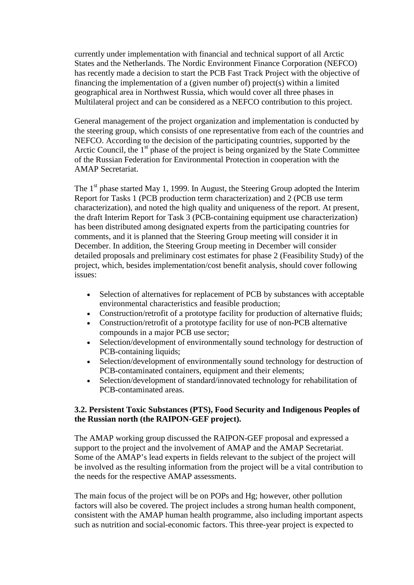currently under implementation with financial and technical support of all Arctic States and the Netherlands. The Nordic Environment Finance Corporation (NEFCO) has recently made a decision to start the PCB Fast Track Project with the objective of financing the implementation of a (given number of) project(s) within a limited geographical area in Northwest Russia, which would cover all three phases in Multilateral project and can be considered as a NEFCO contribution to this project.

General management of the project organization and implementation is conducted by the steering group, which consists of one representative from each of the countries and NEFCO. According to the decision of the participating countries, supported by the Arctic Council, the  $1<sup>st</sup>$  phase of the project is being organized by the State Committee of the Russian Federation for Environmental Protection in cooperation with the AMAP Secretariat.

The  $1<sup>st</sup>$  phase started May 1, 1999. In August, the Steering Group adopted the Interim Report for Tasks 1 (PCB production term characterization) and 2 (PCB use term characterization), and noted the high quality and uniqueness of the report. At present, the draft Interim Report for Task 3 (PCB-containing equipment use characterization) has been distributed among designated experts from the participating countries for comments, and it is planned that the Steering Group meeting will consider it in December. In addition, the Steering Group meeting in December will consider detailed proposals and preliminary cost estimates for phase 2 (Feasibility Study) of the project, which, besides implementation/cost benefit analysis, should cover following issues:

- Selection of alternatives for replacement of PCB by substances with acceptable environmental characteristics and feasible production;
- Construction/retrofit of a prototype facility for production of alternative fluids;
- Construction/retrofit of a prototype facility for use of non-PCB alternative compounds in a major PCB use sector;
- Selection/development of environmentally sound technology for destruction of PCB-containing liquids;
- Selection/development of environmentally sound technology for destruction of PCB-contaminated containers, equipment and their elements;
- Selection/development of standard/innovated technology for rehabilitation of PCB-contaminated areas.

## **3.2. Persistent Toxic Substances (PTS), Food Security and Indigenous Peoples of the Russian north (the RAIPON-GEF project).**

The AMAP working group discussed the RAIPON-GEF proposal and expressed a support to the project and the involvement of AMAP and the AMAP Secretariat. Some of the AMAP's lead experts in fields relevant to the subject of the project will be involved as the resulting information from the project will be a vital contribution to the needs for the respective AMAP assessments.

The main focus of the project will be on POPs and Hg; however, other pollution factors will also be covered. The project includes a strong human health component, consistent with the AMAP human health programme, also including important aspects such as nutrition and social-economic factors. This three-year project is expected to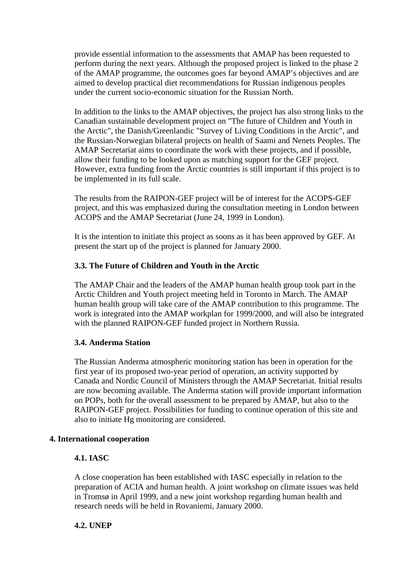provide essential information to the assessments that AMAP has been requested to perform during the next years. Although the proposed project is linked to the phase 2 of the AMAP programme, the outcomes goes far beyond AMAP's objectives and are aimed to develop practical diet recommendations for Russian indigenous peoples under the current socio-economic situation for the Russian North.

In addition to the links to the AMAP objectives, the project has also strong links to the Canadian sustainable development project on "The future of Children and Youth in the Arctic", the Danish/Greenlandic "Survey of Living Conditions in the Arctic", and the Russian-Norwegian bilateral projects on health of Saami and Nenets Peoples. The AMAP Secretariat aims to coordinate the work with these projects, and if possible, allow their funding to be looked upon as matching support for the GEF project. However, extra funding from the Arctic countries is still important if this project is to be implemented in its full scale.

The results from the RAIPON-GEF project will be of interest for the ACOPS-GEF project, and this was emphasized during the consultation meeting in London between ACOPS and the AMAP Secretariat (June 24, 1999 in London).

It is the intention to initiate this project as soons as it has been approved by GEF. At present the start up of the project is planned for January 2000.

#### **3.3. The Future of Children and Youth in the Arctic**

The AMAP Chair and the leaders of the AMAP human health group took part in the Arctic Children and Youth project meeting held in Toronto in March. The AMAP human health group will take care of the AMAP contribution to this programme. The work is integrated into the AMAP workplan for 1999/2000, and will also be integrated with the planned RAIPON-GEF funded project in Northern Russia.

#### **3.4. Anderma Station**

The Russian Anderma atmospheric monitoring station has been in operation for the first year of its proposed two-year period of operation, an activity supported by Canada and Nordic Council of Ministers through the AMAP Secretariat. Initial results are now becoming available. The Anderma station will provide important information on POPs, both for the overall assessment to be prepared by AMAP, but also to the RAIPON-GEF project. Possibilities for funding to continue operation of this site and also to initiate Hg monitoring are considered.

#### **4. International cooperation**

#### **4.1. IASC**

A close cooperation has been established with IASC especially in relation to the preparation of ACIA and human health. A joint workshop on climate issues was held in Tromsø in April 1999, and a new joint workshop regarding human health and research needs will be held in Rovaniemi, January 2000.

## **4.2. UNEP**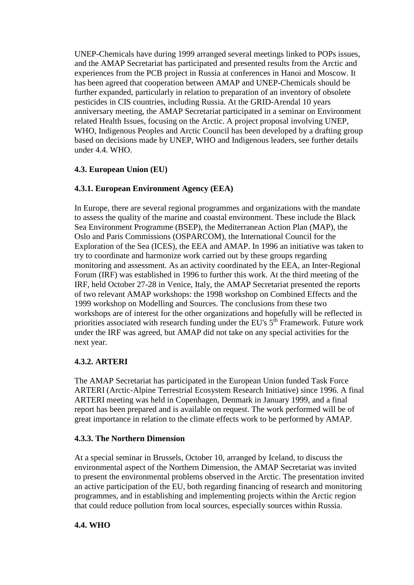UNEP-Chemicals have during 1999 arranged several meetings linked to POPs issues, and the AMAP Secretariat has participated and presented results from the Arctic and experiences from the PCB project in Russia at conferences in Hanoi and Moscow. It has been agreed that cooperation between AMAP and UNEP-Chemicals should be further expanded, particularly in relation to preparation of an inventory of obsolete pesticides in CIS countries, including Russia. At the GRID-Arendal 10 years anniversary meeting, the AMAP Secretariat participated in a seminar on Environment related Health Issues, focusing on the Arctic. A project proposal involving UNEP, WHO, Indigenous Peoples and Arctic Council has been developed by a drafting group based on decisions made by UNEP, WHO and Indigenous leaders, see further details under 4.4. WHO.

# **4.3. European Union (EU)**

# **4.3.1. European Environment Agency (EEA)**

In Europe, there are several regional programmes and organizations with the mandate to assess the quality of the marine and coastal environment. These include the Black Sea Environment Programme (BSEP), the Mediterranean Action Plan (MAP), the Oslo and Paris Commissions (OSPARCOM), the International Council for the Exploration of the Sea (ICES), the EEA and AMAP. In 1996 an initiative was taken to try to coordinate and harmonize work carried out by these groups regarding monitoring and assessment. As an activity coordinated by the EEA, an Inter-Regional Forum (IRF) was established in 1996 to further this work. At the third meeting of the IRF, held October 27-28 in Venice, Italy, the AMAP Secretariat presented the reports of two relevant AMAP workshops: the 1998 workshop on Combined Effects and the 1999 workshop on Modelling and Sources. The conclusions from these two workshops are of interest for the other organizations and hopefully will be reflected in priorities associated with research funding under the EU's  $5^{\text{th}}$  Framework. Future work under the IRF was agreed, but AMAP did not take on any special activities for the next year.

## **4.3.2. ARTERI**

The AMAP Secretariat has participated in the European Union funded Task Force ARTERI (Arctic-Alpine Terrestrial Ecosystem Research Initiative) since 1996. A final ARTERI meeting was held in Copenhagen, Denmark in January 1999, and a final report has been prepared and is available on request. The work performed will be of great importance in relation to the climate effects work to be performed by AMAP.

## **4.3.3. The Northern Dimension**

At a special seminar in Brussels, October 10, arranged by Iceland, to discuss the environmental aspect of the Northern Dimension, the AMAP Secretariat was invited to present the environmental problems observed in the Arctic. The presentation invited an active participation of the EU, both regarding financing of research and monitoring programmes, and in establishing and implementing projects within the Arctic region that could reduce pollution from local sources, especially sources within Russia.

## **4.4. WHO**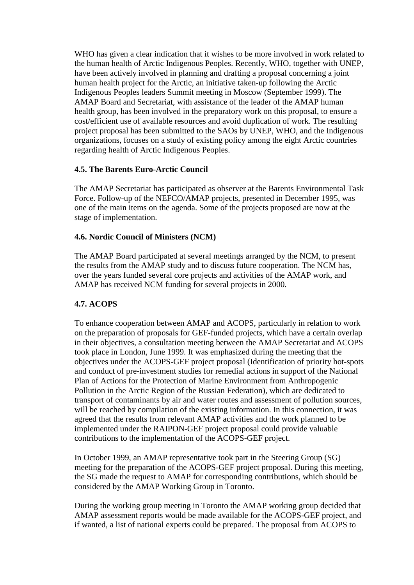WHO has given a clear indication that it wishes to be more involved in work related to the human health of Arctic Indigenous Peoples. Recently, WHO, together with UNEP, have been actively involved in planning and drafting a proposal concerning a joint human health project for the Arctic, an initiative taken-up following the Arctic Indigenous Peoples leaders Summit meeting in Moscow (September 1999). The AMAP Board and Secretariat, with assistance of the leader of the AMAP human health group, has been involved in the preparatory work on this proposal, to ensure a cost/efficient use of available resources and avoid duplication of work. The resulting project proposal has been submitted to the SAOs by UNEP, WHO, and the Indigenous organizations, focuses on a study of existing policy among the eight Arctic countries regarding health of Arctic Indigenous Peoples.

## **4.5. The Barents Euro-Arctic Council**

The AMAP Secretariat has participated as observer at the Barents Environmental Task Force. Follow-up of the NEFCO/AMAP projects, presented in December 1995, was one of the main items on the agenda. Some of the projects proposed are now at the stage of implementation.

## **4.6. Nordic Council of Ministers (NCM)**

The AMAP Board participated at several meetings arranged by the NCM, to present the results from the AMAP study and to discuss future cooperation. The NCM has, over the years funded several core projects and activities of the AMAP work, and AMAP has received NCM funding for several projects in 2000.

# **4.7. ACOPS**

To enhance cooperation between AMAP and ACOPS, particularly in relation to work on the preparation of proposals for GEF-funded projects, which have a certain overlap in their objectives, a consultation meeting between the AMAP Secretariat and ACOPS took place in London, June 1999. It was emphasized during the meeting that the objectives under the ACOPS-GEF project proposal (Identification of priority hot-spots and conduct of pre-investment studies for remedial actions in support of the National Plan of Actions for the Protection of Marine Environment from Anthropogenic Pollution in the Arctic Region of the Russian Federation), which are dedicated to transport of contaminants by air and water routes and assessment of pollution sources, will be reached by compilation of the existing information. In this connection, it was agreed that the results from relevant AMAP activities and the work planned to be implemented under the RAIPON-GEF project proposal could provide valuable contributions to the implementation of the ACOPS-GEF project.

In October 1999, an AMAP representative took part in the Steering Group (SG) meeting for the preparation of the ACOPS-GEF project proposal. During this meeting, the SG made the request to AMAP for corresponding contributions, which should be considered by the AMAP Working Group in Toronto.

During the working group meeting in Toronto the AMAP working group decided that AMAP assessment reports would be made available for the ACOPS-GEF project, and if wanted, a list of national experts could be prepared. The proposal from ACOPS to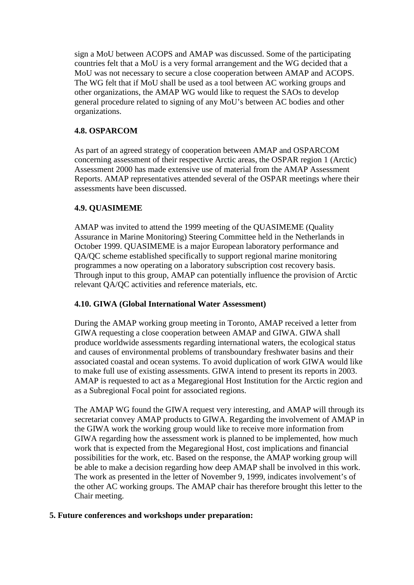sign a MoU between ACOPS and AMAP was discussed. Some of the participating countries felt that a MoU is a very formal arrangement and the WG decided that a MoU was not necessary to secure a close cooperation between AMAP and ACOPS. The WG felt that if MoU shall be used as a tool between AC working groups and other organizations, the AMAP WG would like to request the SAOs to develop general procedure related to signing of any MoU's between AC bodies and other organizations.

# **4.8. OSPARCOM**

As part of an agreed strategy of cooperation between AMAP and OSPARCOM concerning assessment of their respective Arctic areas, the OSPAR region 1 (Arctic) Assessment 2000 has made extensive use of material from the AMAP Assessment Reports. AMAP representatives attended several of the OSPAR meetings where their assessments have been discussed.

## **4.9. QUASIMEME**

AMAP was invited to attend the 1999 meeting of the QUASIMEME (Quality Assurance in Marine Monitoring) Steering Committee held in the Netherlands in October 1999. QUASIMEME is a major European laboratory performance and QA/QC scheme established specifically to support regional marine monitoring programmes a now operating on a laboratory subscription cost recovery basis. Through input to this group, AMAP can potentially influence the provision of Arctic relevant QA/QC activities and reference materials, etc.

## **4.10. GIWA (Global International Water Assessment)**

During the AMAP working group meeting in Toronto, AMAP received a letter from GIWA requesting a close cooperation between AMAP and GIWA. GIWA shall produce worldwide assessments regarding international waters, the ecological status and causes of environmental problems of transboundary freshwater basins and their associated coastal and ocean systems. To avoid duplication of work GIWA would like to make full use of existing assessments. GIWA intend to present its reports in 2003. AMAP is requested to act as a Megaregional Host Institution for the Arctic region and as a Subregional Focal point for associated regions.

The AMAP WG found the GIWA request very interesting, and AMAP will through its secretariat convey AMAP products to GIWA. Regarding the involvement of AMAP in the GIWA work the working group would like to receive more information from GIWA regarding how the assessment work is planned to be implemented, how much work that is expected from the Megaregional Host, cost implications and financial possibilities for the work, etc. Based on the response, the AMAP working group will be able to make a decision regarding how deep AMAP shall be involved in this work. The work as presented in the letter of November 9, 1999, indicates involvement's of the other AC working groups. The AMAP chair has therefore brought this letter to the Chair meeting.

## **5. Future conferences and workshops under preparation:**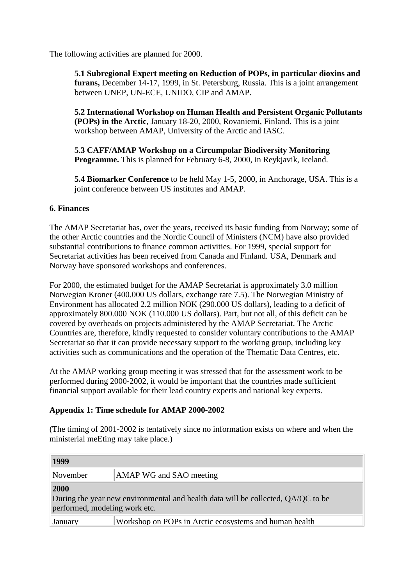The following activities are planned for 2000.

**5.1 Subregional Expert meeting on Reduction of POPs, in particular dioxins and furans,** December 14-17, 1999, in St. Petersburg, Russia. This is a joint arrangement between UNEP, UN-ECE, UNIDO, CIP and AMAP.

**5.2 International Workshop on Human Health and Persistent Organic Pollutants (POPs) in the Arctic**, January 18-20, 2000, Rovaniemi, Finland. This is a joint workshop between AMAP, University of the Arctic and IASC.

**5.3 CAFF/AMAP Workshop on a Circumpolar Biodiversity Monitoring Programme.** This is planned for February 6-8, 2000, in Reykjavik, Iceland.

**5.4 Biomarker Conference** to be held May 1-5, 2000, in Anchorage, USA. This is a joint conference between US institutes and AMAP.

#### **6. Finances**

The AMAP Secretariat has, over the years, received its basic funding from Norway; some of the other Arctic countries and the Nordic Council of Ministers (NCM) have also provided substantial contributions to finance common activities. For 1999, special support for Secretariat activities has been received from Canada and Finland. USA, Denmark and Norway have sponsored workshops and conferences.

For 2000, the estimated budget for the AMAP Secretariat is approximately 3.0 million Norwegian Kroner (400.000 US dollars, exchange rate 7.5). The Norwegian Ministry of Environment has allocated 2.2 million NOK (290.000 US dollars), leading to a deficit of approximately 800.000 NOK (110.000 US dollars). Part, but not all, of this deficit can be covered by overheads on projects administered by the AMAP Secretariat. The Arctic Countries are, therefore, kindly requested to consider voluntary contributions to the AMAP Secretariat so that it can provide necessary support to the working group, including key activities such as communications and the operation of the Thematic Data Centres, etc.

At the AMAP working group meeting it was stressed that for the assessment work to be performed during 2000-2002, it would be important that the countries made sufficient financial support available for their lead country experts and national key experts.

#### **Appendix 1: Time schedule for AMAP 2000-2002**

(The timing of 2001-2002 is tentatively since no information exists on where and when the ministerial meEting may take place.)

| 1999                                                                                                                      |                                                        |
|---------------------------------------------------------------------------------------------------------------------------|--------------------------------------------------------|
| November                                                                                                                  | AMAP WG and SAO meeting                                |
| 2000<br>During the year new environmental and health data will be collected, QA/QC to be<br>performed, modeling work etc. |                                                        |
| January                                                                                                                   | Workshop on POPs in Arctic ecosystems and human health |